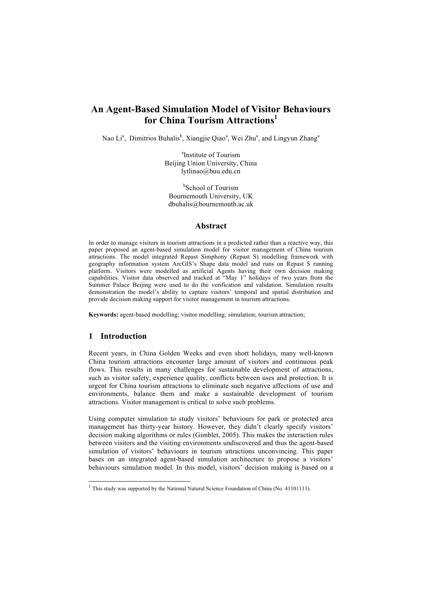# **An Agent-Based Simulation Model of Visitor Behaviours for China Tourism Attractions**

Nao Li<sup>a</sup>, Dimitrios Buhalis<sup>b</sup>, Xiangjie Qiao<sup>a</sup>, Wei Zhu<sup>a</sup>, and Lingyun Zhang<sup>a</sup>

<sup>a</sup>Institute of Tourism Beijing Union University, China lytlinao@buu.edu.cn

<sup>b</sup>School of Tourism Bournemouth University, UK dbuhalis@bournemouth.ac.uk

#### **Abstract**

In order to manage visitors in tourism attractions in a predicted rather than a reactive way, this paper proposed an agent-based simulation model for visitor management of China tourism attractions. The model integrated Repast Simphony (Repast S) modelling framework with geography information system ArcGIS's Shape data model and runs on Repast S running platform. Visitors were modelled as artificial Agents having their own decision making capabilities. Visitor data observed and tracked at "May 1" holidays of two years from the Summer Palace Beijing were used to do the verification and validation. Simulation results demonstration the model's ability to capture visitors' temporal and spatial distribution and provide decision making support for visitor management in tourism attractions.

**Keywords:** agent-based modelling; visitor modelling; simulation; tourism attraction;

### **1 Introduction**

Recent years, in China Golden Weeks and even short holidays, many well-known China tourism attractions encounter large amount of visitors and continuous peak flows. This results in many challenges for sustainable development of attractions, such as visitor safety, experience quality, conflicts between uses and protection. It is urgent for China tourism attractions to eliminate such negative affections of use and environments, balance them and make a sustainable development of tourism attractions. Visitor management is critical to solve such problems.

Using computer simulation to study visitors' behaviours for park or protected area management has thirty-year history. However, they didn't clearly specify visitors' decision making algorithms or rules (Gimblet, 2005). This makes the interaction rules between visitors and the visiting environments undiscovered and thus the agent-based simulation of visitors' behaviours in tourism attractions unconvincing. This paper bases on an integrated agent-based simulation architecture to propose a visitors' behaviours simulation model. In this model, visitors' decision making is based on a

 $1$  This study was supported by the National Natural Science Foundation of China (No. 41101111).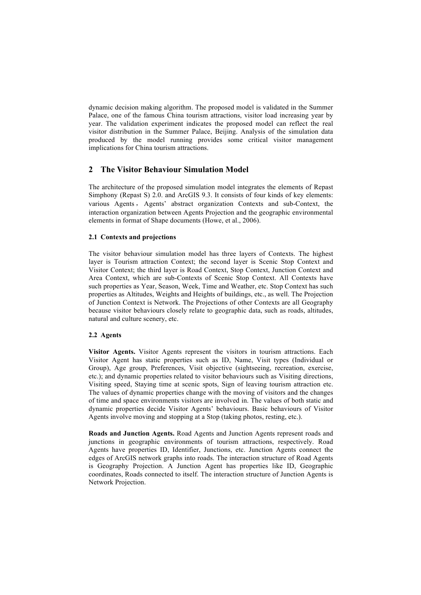dynamic decision making algorithm. The proposed model is validated in the Summer Palace, one of the famous China tourism attractions, visitor load increasing year by year. The validation experiment indicates the proposed model can reflect the real visitor distribution in the Summer Palace, Beijing. Analysis of the simulation data produced by the model running provides some critical visitor management implications for China tourism attractions.

## **2 The Visitor Behaviour Simulation Model**

The architecture of the proposed simulation model integrates the elements of Repast Simphony (Repast S) 2.0. and ArcGIS 9.3. It consists of four kinds of key elements: various Agents , Agents' abstract organization Contexts and sub-Context, the interaction organization between Agents Projection and the geographic environmental elements in format of Shape documents (Howe, et al., 2006).

### **2.1 Contexts and projections**

The visitor behaviour simulation model has three layers of Contexts. The highest layer is Tourism attraction Context; the second layer is Scenic Stop Context and Visitor Context; the third layer is Road Context, Stop Context, Junction Context and Area Context, which are sub-Contexts of Scenic Stop Context. All Contexts have such properties as Year, Season, Week, Time and Weather, etc. Stop Context has such properties as Altitudes, Weights and Heights of buildings, etc., as well. The Projection of Junction Context is Network. The Projections of other Contexts are all Geography because visitor behaviours closely relate to geographic data, such as roads, altitudes, natural and culture scenery, etc.

### **2.2 Agents**

**Visitor Agents.** Visitor Agents represent the visitors in tourism attractions. Each Visitor Agent has static properties such as ID, Name, Visit types (Individual or Group), Age group, Preferences, Visit objective (sightseeing, recreation, exercise, etc.); and dynamic properties related to visitor behaviours such as Visiting directions, Visiting speed, Staying time at scenic spots, Sign of leaving tourism attraction etc. The values of dynamic properties change with the moving of visitors and the changes of time and space environments visitors are involved in. The values of both static and dynamic properties decide Visitor Agents' behaviours. Basic behaviours of Visitor Agents involve moving and stopping at a Stop (taking photos, resting, etc.).

**Roads and Junction Agents.** Road Agents and Junction Agents represent roads and junctions in geographic environments of tourism attractions, respectively. Road Agents have properties ID, Identifier, Junctions, etc. Junction Agents connect the edges of ArcGIS network graphs into roads. The interaction structure of Road Agents is Geography Projection. A Junction Agent has properties like ID, Geographic coordinates, Roads connected to itself. The interaction structure of Junction Agents is Network Projection.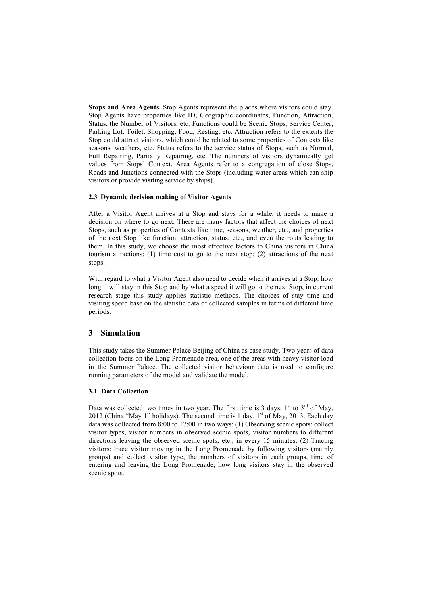**Stops and Area Agents.** Stop Agents represent the places where visitors could stay. Stop Agents have properties like ID, Geographic coordinates, Function, Attraction, Status, the Number of Visitors, etc. Functions could be Scenic Stops, Service Center, Parking Lot, Toilet, Shopping, Food, Resting, etc. Attraction refers to the extents the Stop could attract visitors, which could be related to some properties of Contexts like seasons, weathers, etc. Status refers to the service status of Stops, such as Normal, Full Repairing, Partially Repairing, etc. The numbers of visitors dynamically get values from Stops' Context. Area Agents refer to a congregation of close Stops, Roads and Junctions connected with the Stops (including water areas which can ship visitors or provide visiting service by ships).

#### **2.3 Dynamic decision making of Visitor Agents**

After a Visitor Agent arrives at a Stop and stays for a while, it needs to make a decision on where to go next. There are many factors that affect the choices of next Stops, such as properties of Contexts like time, seasons, weather, etc., and properties of the next Stop like function, attraction, status, etc., and even the routs leading to them. In this study, we choose the most effective factors to China visitors in China tourism attractions: (1) time cost to go to the next stop; (2) attractions of the next stops.

With regard to what a Visitor Agent also need to decide when it arrives at a Stop: how long it will stay in this Stop and by what a speed it will go to the next Stop, in current research stage this study applies statistic methods. The choices of stay time and visiting speed base on the statistic data of collected samples in terms of different time periods.

## **3 Simulation**

This study takes the Summer Palace Beijing of China as case study. Two years of data collection focus on the Long Promenade area, one of the areas with heavy visitor load in the Summer Palace. The collected visitor behaviour data is used to configure running parameters of the model and validate the model.

### **3.1 Data Collection**

Data was collected two times in two year. The first time is 3 days,  $1<sup>st</sup>$  to  $3<sup>rd</sup>$  of May, 2012 (China "May 1" holidays). The second time is 1 day,  $1<sup>st</sup>$  of May, 2013. Each day data was collected from 8:00 to 17:00 in two ways: (1) Observing scenic spots: collect visitor types, visitor numbers in observed scenic spots, visitor numbers to different directions leaving the observed scenic spots, etc., in every 15 minutes; (2) Tracing visitors: trace visitor moving in the Long Promenade by following visitors (mainly groups) and collect visitor type, the numbers of visitors in each groups, time of entering and leaving the Long Promenade, how long visitors stay in the observed scenic spots.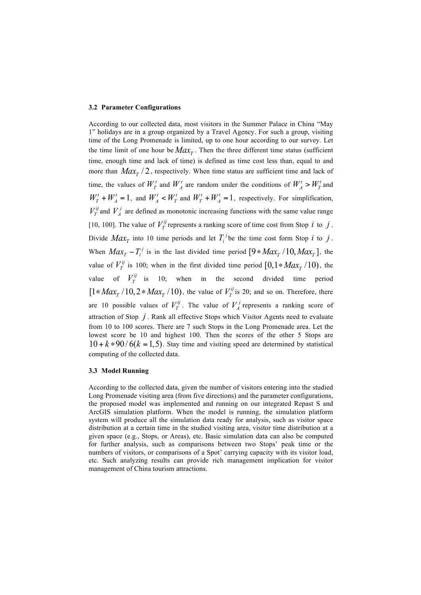#### **3.2 Parameter Configurations**

According to our collected data, most visitors in the Summer Palace in China "May 1" holidays are in a group organized by a Travel Agency. For such a group, visiting time of the Long Promenade is limited, up to one hour according to our survey. Let the time limit of one hour be  $Max_{T}$ . Then the three different time status (sufficient time, enough time and lack of time) is defined as time cost less than, equal to and more than  $Max_{T}/2$ , respectively. When time status are sufficient time and lack of time, the values of  $W_T^t$  and  $W_A^t$  are random under the conditions of  $W_A^t > W_T^t$  and  $W_T^t + W_A^t = 1$ , and  $W_A^t \lt W_T^t$  and  $W_T^t + W_A^t = 1$ , respectively. For simplification,  $V_T^{ij}$  and  $V_A^j$  are defined as monotonic increasing functions with the same value range [10, 100]. The value of  $V_T^{ij}$  represents a ranking score of time cost from Stop *i* to *j*. Divide  $Max_{T}$  into 10 time periods and let  $T_i^j$  be the time cost form Stop *i* to *j*. When  $Max_T - T_i^j$  is in the last divided time period  $[9 * Max_T / 10, Max_T]$ , the value of  $V_T^{ij}$  is 100; when in the first divided time period  $[0,1 * Max_T / 10)$ , the value of  $V_T^{ij}$  is 10; when in the second divided time period  $[1 * Max<sub>T</sub> / 10, 2 * Max<sub>T</sub> / 10)$ , the value of  $V<sub>T</sub><sup>ij</sup>$  is 20; and so on. Therefore, there are 10 possible values of  $V_T^{ij}$ . The value of  $V_A^j$  represents a ranking score of attraction of Stop *j* . Rank all effective Stops which Visitor Agents need to evaluate from 10 to 100 scores. There are 7 such Stops in the Long Promenade area. Let the lowest score be 10 and highest 100. Then the scores of the other 5 Stops are  $10 + k * 90/6(k = 1, 5)$ . Stay time and visiting speed are determined by statistical computing of the collected data.

#### **3.3 Model Running**

According to the collected data, given the number of visitors entering into the studied Long Promenade visiting area (from five directions) and the parameter configurations, the proposed model was implemented and running on our integrated Repast S and ArcGIS simulation platform. When the model is running, the simulation platform system will produce all the simulation data ready for analysis, such as visitor space distribution at a certain time in the studied visiting area, visitor time distribution at a given space (e.g., Stops, or Areas), etc. Basic simulation data can also be computed for further analysis, such as comparisons between two Stops' peak time or the numbers of visitors, or comparisons of a Spot' carrying capacity with its visitor load, etc. Such analyzing results can provide rich management implication for visitor management of China tourism attractions.